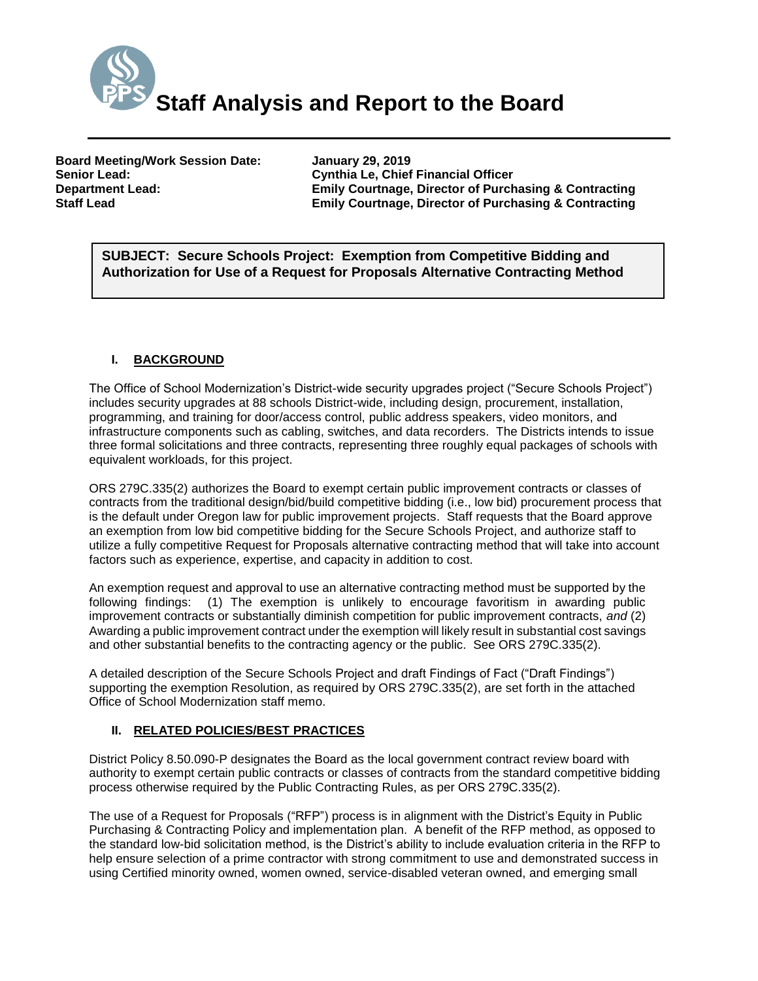

**Board Meeting/Work Session Date: January 29, 2019 Senior Lead: Cynthia Le, Chief Financial Officer**

**Emily Courtnage, Director of Purchasing & Contracting Staff Lead Emily Courtnage, Director of Purchasing & Contracting**

*(Use this section to briefly explain the item—2-3 sentences)* **SUBJECT: Secure Schools Project: Exemption from Competitive Bidding and Authorization for Use of a Request for Proposals Alternative Contracting Method**

# **I. BACKGROUND**

The Office of School Modernization's District-wide security upgrades project ("Secure Schools Project") includes security upgrades at 88 schools District-wide, including design, procurement, installation, programming, and training for door/access control, public address speakers, video monitors, and infrastructure components such as cabling, switches, and data recorders. The Districts intends to issue three formal solicitations and three contracts, representing three roughly equal packages of schools with equivalent workloads, for this project.

ORS 279C.335(2) authorizes the Board to exempt certain public improvement contracts or classes of contracts from the traditional design/bid/build competitive bidding (i.e., low bid) procurement process that is the default under Oregon law for public improvement projects. Staff requests that the Board approve an exemption from low bid competitive bidding for the Secure Schools Project, and authorize staff to utilize a fully competitive Request for Proposals alternative contracting method that will take into account factors such as experience, expertise, and capacity in addition to cost.

An exemption request and approval to use an alternative contracting method must be supported by the following findings: (1) The exemption is unlikely to encourage favoritism in awarding public improvement contracts or substantially diminish competition for public improvement contracts, *and* (2) Awarding a public improvement contract under the exemption will likely result in substantial cost savings and other substantial benefits to the contracting agency or the public. See ORS 279C.335(2).

A detailed description of the Secure Schools Project and draft Findings of Fact ("Draft Findings") supporting the exemption Resolution, as required by ORS 279C.335(2), are set forth in the attached Office of School Modernization staff memo.

### **II. RELATED POLICIES/BEST PRACTICES**

District Policy 8.50.090-P designates the Board as the local government contract review board with authority to exempt certain public contracts or classes of contracts from the standard competitive bidding process otherwise required by the Public Contracting Rules, as per ORS 279C.335(2).

The use of a Request for Proposals ("RFP") process is in alignment with the District's Equity in Public Purchasing & Contracting Policy and implementation plan. A benefit of the RFP method, as opposed to the standard low-bid solicitation method, is the District's ability to include evaluation criteria in the RFP to help ensure selection of a prime contractor with strong commitment to use and demonstrated success in using Certified minority owned, women owned, service-disabled veteran owned, and emerging small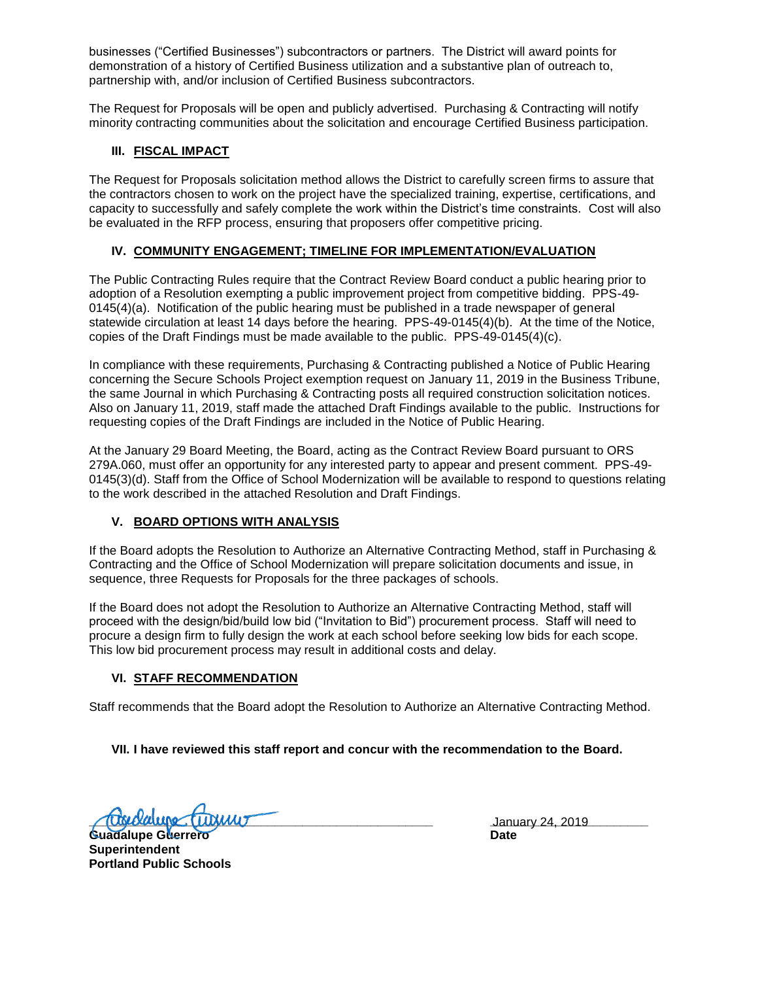businesses ("Certified Businesses") subcontractors or partners. The District will award points for demonstration of a history of Certified Business utilization and a substantive plan of outreach to, partnership with, and/or inclusion of Certified Business subcontractors.

The Request for Proposals will be open and publicly advertised. Purchasing & Contracting will notify minority contracting communities about the solicitation and encourage Certified Business participation.

### **III. FISCAL IMPACT**

The Request for Proposals solicitation method allows the District to carefully screen firms to assure that the contractors chosen to work on the project have the specialized training, expertise, certifications, and capacity to successfully and safely complete the work within the District's time constraints. Cost will also be evaluated in the RFP process, ensuring that proposers offer competitive pricing.

# **IV. COMMUNITY ENGAGEMENT; TIMELINE FOR IMPLEMENTATION/EVALUATION**

The Public Contracting Rules require that the Contract Review Board conduct a public hearing prior to adoption of a Resolution exempting a public improvement project from competitive bidding. PPS-49- 0145(4)(a). Notification of the public hearing must be published in a trade newspaper of general statewide circulation at least 14 days before the hearing. PPS-49-0145(4)(b). At the time of the Notice, copies of the Draft Findings must be made available to the public. PPS-49-0145(4)(c).

In compliance with these requirements, Purchasing & Contracting published a Notice of Public Hearing concerning the Secure Schools Project exemption request on January 11, 2019 in the Business Tribune, the same Journal in which Purchasing & Contracting posts all required construction solicitation notices. Also on January 11, 2019, staff made the attached Draft Findings available to the public. Instructions for requesting copies of the Draft Findings are included in the Notice of Public Hearing.

At the January 29 Board Meeting, the Board, acting as the Contract Review Board pursuant to ORS 279A.060, must offer an opportunity for any interested party to appear and present comment. PPS-49- 0145(3)(d). Staff from the Office of School Modernization will be available to respond to questions relating to the work described in the attached Resolution and Draft Findings.

# **V. BOARD OPTIONS WITH ANALYSIS**

If the Board adopts the Resolution to Authorize an Alternative Contracting Method, staff in Purchasing & Contracting and the Office of School Modernization will prepare solicitation documents and issue, in sequence, three Requests for Proposals for the three packages of schools.

If the Board does not adopt the Resolution to Authorize an Alternative Contracting Method, staff will proceed with the design/bid/build low bid ("Invitation to Bid") procurement process. Staff will need to procure a design firm to fully design the work at each school before seeking low bids for each scope. This low bid procurement process may result in additional costs and delay.

### **VI. STAFF RECOMMENDATION**

Staff recommends that the Board adopt the Resolution to Authorize an Alternative Contracting Method.

### **VII. I have reviewed this staff report and concur with the recommendation to the Board.**

**<u>Coverance</u>** (LUXIMU) **Communication** (LUXIMU) **Communication** (LUXIMU) **Communication** (LUXIMU) **Communication** (LUXIMU) **Communication** (LUXIMU) **Communication** (LUXIMU) **Communication** (LUXIMU) **Communication** (LUXIMU)

**Guadalupe Guerrero Date Superintendent Portland Public Schools**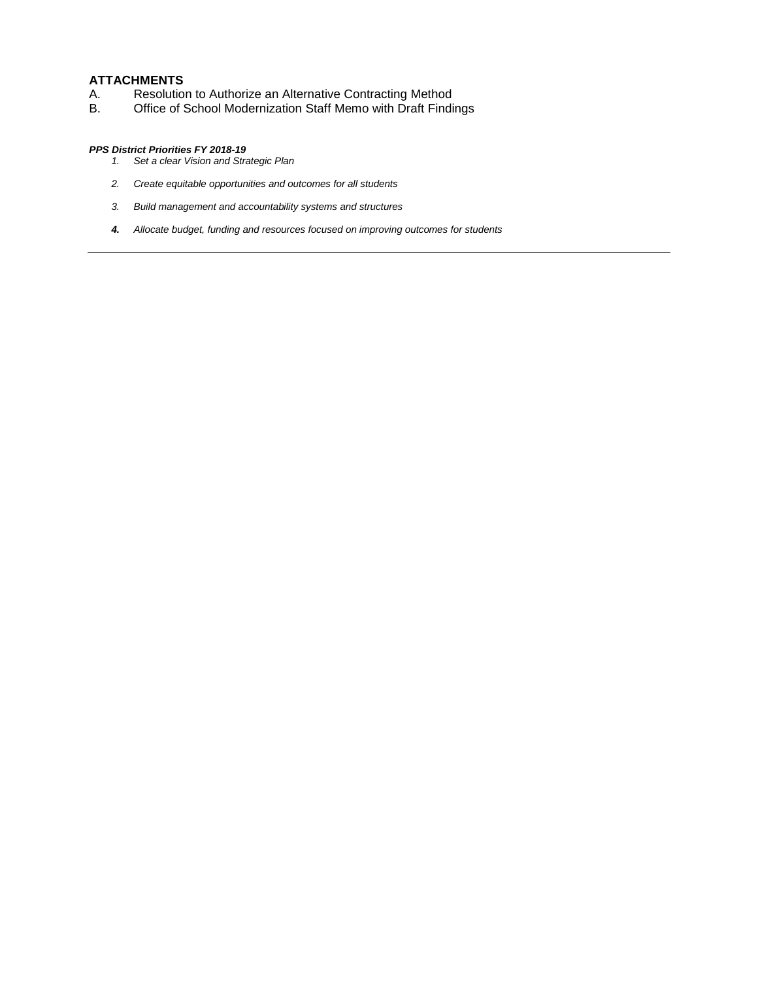### **ATTACHMENTS**

- A. Resolution to Authorize an Alternative Contracting Method
- B. Office of School Modernization Staff Memo with Draft Findings

#### *PPS District Priorities FY 2018-19*

- *1. Set a clear Vision and Strategic Plan*
- *2. Create equitable opportunities and outcomes for all students*
- *3. Build management and accountability systems and structures*
- *4. Allocate budget, funding and resources focused on improving outcomes for students*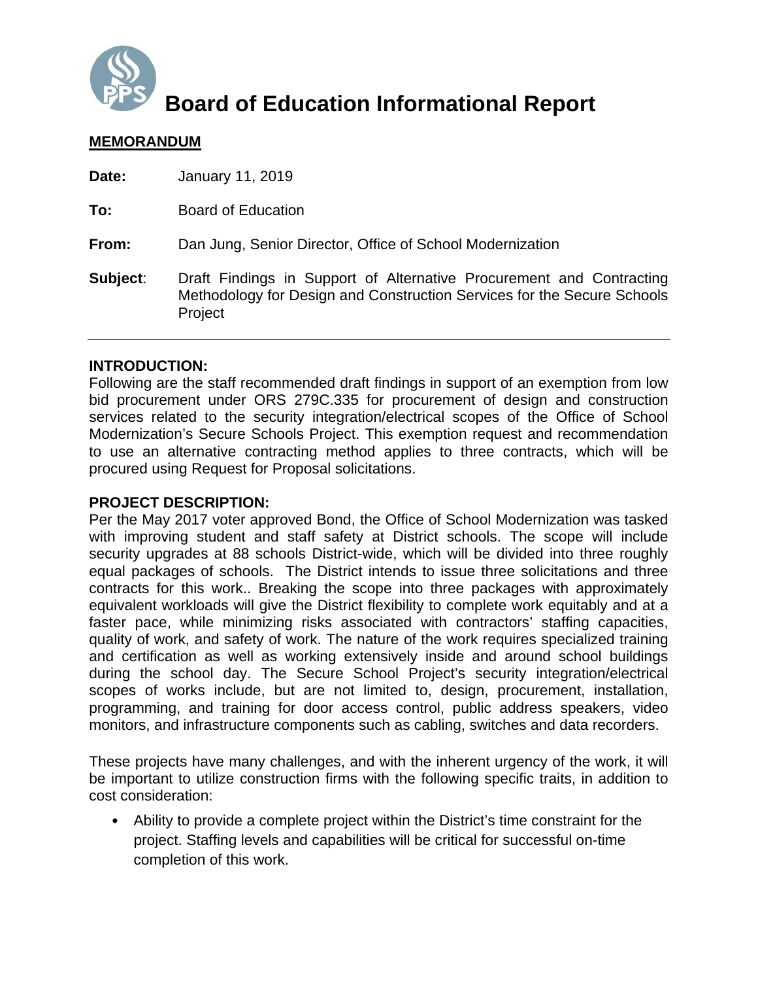

# **Board of Education Informational Report**

# **MEMORANDUM**

| Date:    | January 11, 2019                                                                                                                                           |
|----------|------------------------------------------------------------------------------------------------------------------------------------------------------------|
| To:      | <b>Board of Education</b>                                                                                                                                  |
| From:    | Dan Jung, Senior Director, Office of School Modernization                                                                                                  |
| Subject: | Draft Findings in Support of Alternative Procurement and Contracting<br>Methodology for Design and Construction Services for the Secure Schools<br>Project |

# **INTRODUCTION:**

Following are the staff recommended draft findings in support of an exemption from low bid procurement under ORS 279C.335 for procurement of design and construction services related to the security integration/electrical scopes of the Office of School Modernization's Secure Schools Project. This exemption request and recommendation to use an alternative contracting method applies to three contracts, which will be procured using Request for Proposal solicitations.

# **PROJECT DESCRIPTION:**

Per the May 2017 voter approved Bond, the Office of School Modernization was tasked with improving student and staff safety at District schools. The scope will include security upgrades at 88 schools District-wide, which will be divided into three roughly equal packages of schools. The District intends to issue three solicitations and three contracts for this work.. Breaking the scope into three packages with approximately equivalent workloads will give the District flexibility to complete work equitably and at a faster pace, while minimizing risks associated with contractors' staffing capacities, quality of work, and safety of work. The nature of the work requires specialized training and certification as well as working extensively inside and around school buildings during the school day. The Secure School Project's security integration/electrical scopes of works include, but are not limited to, design, procurement, installation, programming, and training for door access control, public address speakers, video monitors, and infrastructure components such as cabling, switches and data recorders.

These projects have many challenges, and with the inherent urgency of the work, it will be important to utilize construction firms with the following specific traits, in addition to cost consideration:

• Ability to provide a complete project within the District's time constraint for the project. Staffing levels and capabilities will be critical for successful on-time completion of this work.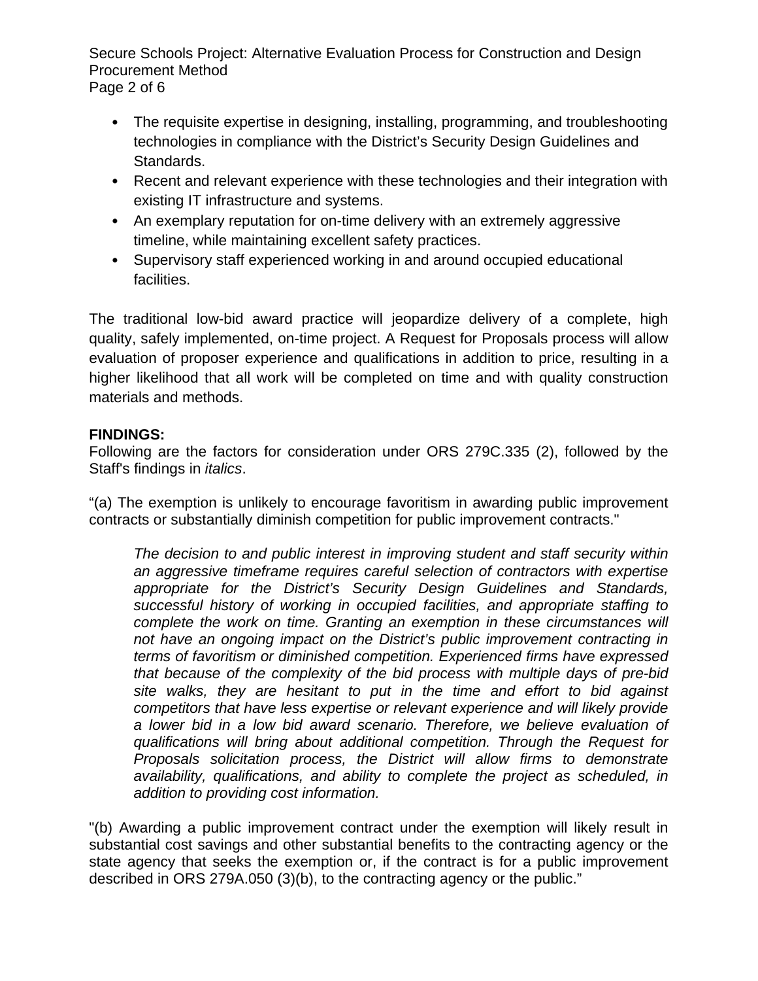Secure Schools Project: Alternative Evaluation Process for Construction and Design Procurement Method Page 2 of 6

- The requisite expertise in designing, installing, programming, and troubleshooting technologies in compliance with the District's Security Design Guidelines and Standards.
- Recent and relevant experience with these technologies and their integration with existing IT infrastructure and systems.
- An exemplary reputation for on-time delivery with an extremely aggressive timeline, while maintaining excellent safety practices.
- Supervisory staff experienced working in and around occupied educational facilities.

The traditional low-bid award practice will jeopardize delivery of a complete, high quality, safely implemented, on-time project. A Request for Proposals process will allow evaluation of proposer experience and qualifications in addition to price, resulting in a higher likelihood that all work will be completed on time and with quality construction materials and methods.

# **FINDINGS:**

Following are the factors for consideration under ORS 279C.335 (2), followed by the Staff's findings in *italics*.

"(a) The exemption is unlikely to encourage favoritism in awarding public improvement contracts or substantially diminish competition for public improvement contracts."

*The decision to and public interest in improving student and staff security within an aggressive timeframe requires careful selection of contractors with expertise appropriate for the District's Security Design Guidelines and Standards, successful history of working in occupied facilities, and appropriate staffing to complete the work on time. Granting an exemption in these circumstances will not have an ongoing impact on the District's public improvement contracting in terms of favoritism or diminished competition. Experienced firms have expressed that because of the complexity of the bid process with multiple days of pre-bid site walks, they are hesitant to put in the time and effort to bid against competitors that have less expertise or relevant experience and will likely provide a lower bid in a low bid award scenario. Therefore, we believe evaluation of qualifications will bring about additional competition. Through the Request for Proposals solicitation process, the District will allow firms to demonstrate availability, qualifications, and ability to complete the project as scheduled, in addition to providing cost information.* 

"(b) Awarding a public improvement contract under the exemption will likely result in substantial cost savings and other substantial benefits to the contracting agency or the state agency that seeks the exemption or, if the contract is for a public improvement described in ORS 279A.050 (3)(b), to the contracting agency or the public."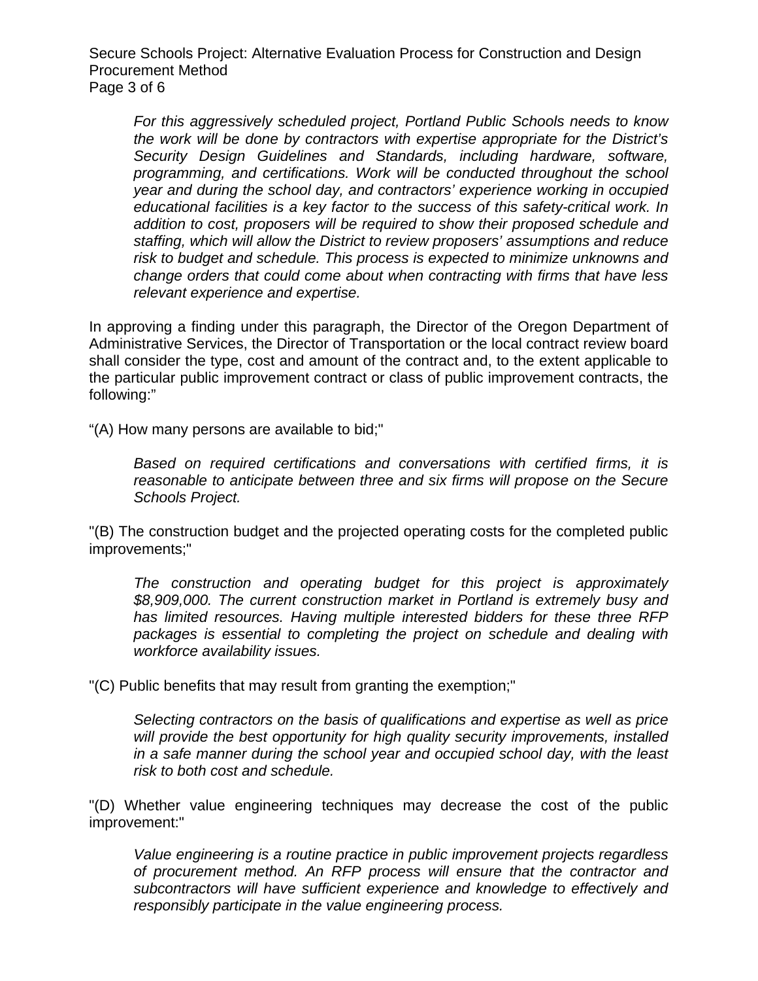Secure Schools Project: Alternative Evaluation Process for Construction and Design Procurement Method Page 3 of 6

*For this aggressively scheduled project, Portland Public Schools needs to know the work will be done by contractors with expertise appropriate for the District's Security Design Guidelines and Standards, including hardware, software, programming, and certifications. Work will be conducted throughout the school year and during the school day, and contractors' experience working in occupied educational facilities is a key factor to the success of this safety-critical work. In addition to cost, proposers will be required to show their proposed schedule and staffing, which will allow the District to review proposers' assumptions and reduce risk to budget and schedule. This process is expected to minimize unknowns and change orders that could come about when contracting with firms that have less relevant experience and expertise.* 

In approving a finding under this paragraph, the Director of the Oregon Department of Administrative Services, the Director of Transportation or the local contract review board shall consider the type, cost and amount of the contract and, to the extent applicable to the particular public improvement contract or class of public improvement contracts, the following:"

"(A) How many persons are available to bid;"

*Based on required certifications and conversations with certified firms, it is reasonable to anticipate between three and six firms will propose on the Secure Schools Project.* 

"(B) The construction budget and the projected operating costs for the completed public improvements;"

*The construction and operating budget for this project is approximately \$8,909,000. The current construction market in Portland is extremely busy and has limited resources. Having multiple interested bidders for these three RFP packages is essential to completing the project on schedule and dealing with workforce availability issues.* 

"(C) Public benefits that may result from granting the exemption;"

*Selecting contractors on the basis of qualifications and expertise as well as price will provide the best opportunity for high quality security improvements, installed in a safe manner during the school year and occupied school day, with the least risk to both cost and schedule.* 

"(D) Whether value engineering techniques may decrease the cost of the public improvement:"

*Value engineering is a routine practice in public improvement projects regardless of procurement method. An RFP process will ensure that the contractor and subcontractors will have sufficient experience and knowledge to effectively and responsibly participate in the value engineering process.*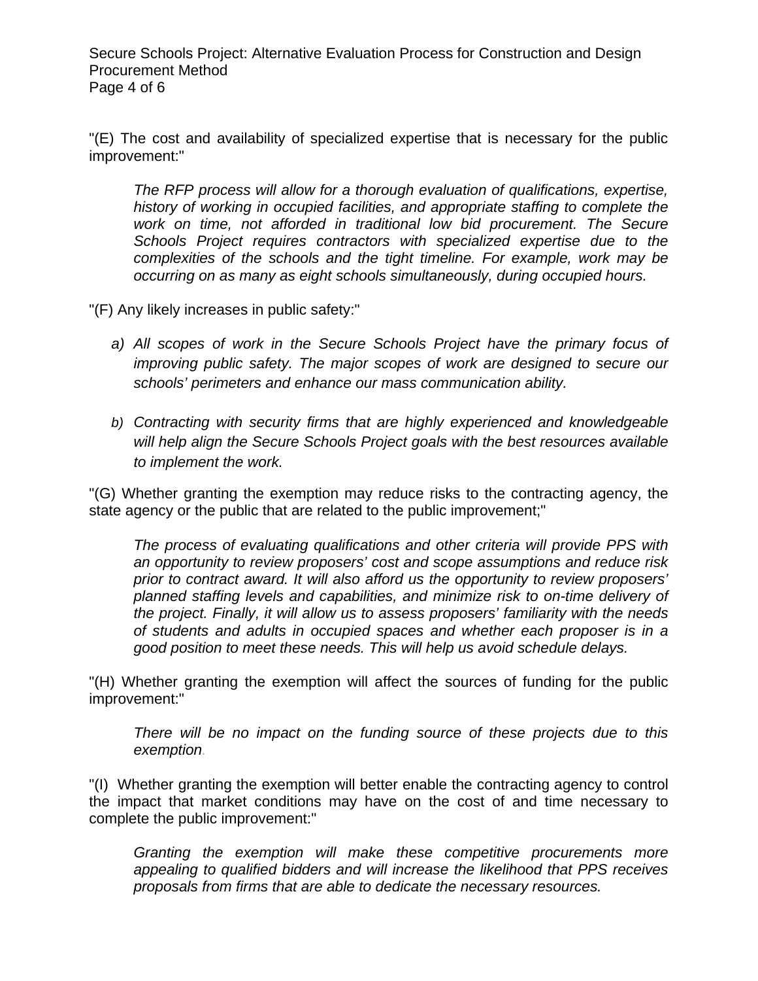Secure Schools Project: Alternative Evaluation Process for Construction and Design Procurement Method Page 4 of 6

"(E) The cost and availability of specialized expertise that is necessary for the public improvement:"

*The RFP process will allow for a thorough evaluation of qualifications, expertise, history of working in occupied facilities, and appropriate staffing to complete the work on time, not afforded in traditional low bid procurement. The Secure Schools Project requires contractors with specialized expertise due to the complexities of the schools and the tight timeline. For example, work may be occurring on as many as eight schools simultaneously, during occupied hours.* 

"(F) Any likely increases in public safety:"

- *a) All scopes of work in the Secure Schools Project have the primary focus of improving public safety. The major scopes of work are designed to secure our schools' perimeters and enhance our mass communication ability.*
- *b) Contracting with security firms that are highly experienced and knowledgeable will help align the Secure Schools Project goals with the best resources available to implement the work.*

"(G) Whether granting the exemption may reduce risks to the contracting agency, the state agency or the public that are related to the public improvement;"

*The process of evaluating qualifications and other criteria will provide PPS with an opportunity to review proposers' cost and scope assumptions and reduce risk prior to contract award. It will also afford us the opportunity to review proposers' planned staffing levels and capabilities, and minimize risk to on-time delivery of the project. Finally, it will allow us to assess proposers' familiarity with the needs of students and adults in occupied spaces and whether each proposer is in a good position to meet these needs. This will help us avoid schedule delays.* 

"(H) Whether granting the exemption will affect the sources of funding for the public improvement:"

*There will be no impact on the funding source of these projects due to this exemption.* 

"(I) Whether granting the exemption will better enable the contracting agency to control the impact that market conditions may have on the cost of and time necessary to complete the public improvement:"

*Granting the exemption will make these competitive procurements more appealing to qualified bidders and will increase the likelihood that PPS receives proposals from firms that are able to dedicate the necessary resources.*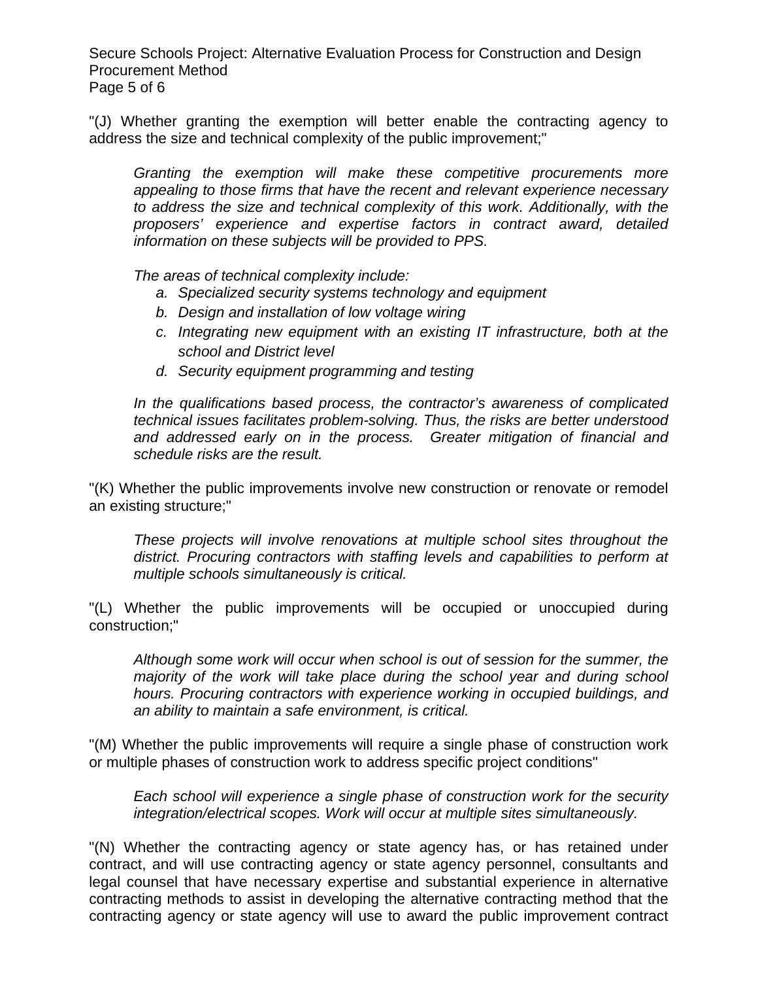Secure Schools Project: Alternative Evaluation Process for Construction and Design Procurement Method Page 5 of 6

"(J) Whether granting the exemption will better enable the contracting agency to address the size and technical complexity of the public improvement;"

*Granting the exemption will make these competitive procurements more appealing to those firms that have the recent and relevant experience necessary to address the size and technical complexity of this work. Additionally, with the proposers' experience and expertise factors in contract award, detailed information on these subjects will be provided to PPS.* 

*The areas of technical complexity include:* 

- *a. Specialized security systems technology and equipment*
- *b. Design and installation of low voltage wiring*
- *c. Integrating new equipment with an existing IT infrastructure, both at the school and District level*
- *d. Security equipment programming and testing*

*In the qualifications based process, the contractor's awareness of complicated technical issues facilitates problem-solving. Thus, the risks are better understood and addressed early on in the process. Greater mitigation of financial and schedule risks are the result.* 

"(K) Whether the public improvements involve new construction or renovate or remodel an existing structure;"

*These projects will involve renovations at multiple school sites throughout the district. Procuring contractors with staffing levels and capabilities to perform at multiple schools simultaneously is critical.* 

"(L) Whether the public improvements will be occupied or unoccupied during construction;"

*Although some work will occur when school is out of session for the summer, the majority of the work will take place during the school year and during school hours. Procuring contractors with experience working in occupied buildings, and an ability to maintain a safe environment, is critical.* 

"(M) Whether the public improvements will require a single phase of construction work or multiple phases of construction work to address specific project conditions"

*Each school will experience a single phase of construction work for the security integration/electrical scopes. Work will occur at multiple sites simultaneously.* 

"(N) Whether the contracting agency or state agency has, or has retained under contract, and will use contracting agency or state agency personnel, consultants and legal counsel that have necessary expertise and substantial experience in alternative contracting methods to assist in developing the alternative contracting method that the contracting agency or state agency will use to award the public improvement contract